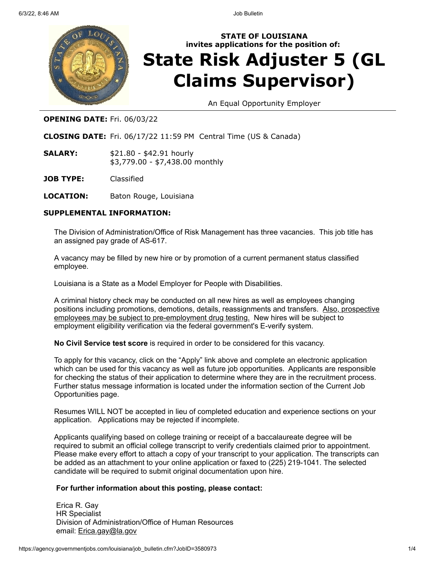

# **STATE OF LOUISIANA invites applications for the position of: State Risk Adjuster 5 (GL Claims Supervisor)**

An Equal Opportunity Employer

# **OPENING DATE:** Fri. 06/03/22

**CLOSING DATE:** Fri. 06/17/22 11:59 PM Central Time (US & Canada)

- **SALARY:** \$21.80 \$42.91 hourly \$3,779.00 - \$7,438.00 monthly
- **JOB TYPE:** Classified
- **LOCATION:** Baton Rouge, Louisiana

# **SUPPLEMENTAL INFORMATION:**

The Division of Administration/Office of Risk Management has three vacancies. This job title has an assigned pay grade of AS-617.

A vacancy may be filled by new hire or by promotion of a current permanent status classified employee.

Louisiana is a State as a Model Employer for People with Disabilities.

A criminal history check may be conducted on all new hires as well as employees changing positions including promotions, demotions, details, reassignments and transfers. Also, prospective employees may be subject to pre-employment drug testing. New hires will be subject to employment eligibility verification via the federal government's E-verify system.

**No Civil Service test score** is required in order to be considered for this vacancy.

To apply for this vacancy, click on the "Apply" link above and complete an electronic application which can be used for this vacancy as well as future job opportunities. Applicants are responsible for checking the status of their application to determine where they are in the recruitment process. Further status message information is located under the information section of the Current Job Opportunities page.

Resumes WILL NOT be accepted in lieu of completed education and experience sections on your application. Applications may be rejected if incomplete.

Applicants qualifying based on college training or receipt of a baccalaureate degree will be required to submit an official college transcript to verify credentials claimed prior to appointment. Please make every effort to attach a copy of your transcript to your application. The transcripts can be added as an attachment to your online application or faxed to (225) 219-1041. The selected candidate will be required to submit original documentation upon hire.

## **For further information about this posting, please contact:**

Erica R. Gay HR Specialist Division of Administration/Office of Human Resources email: Erica.gay@la.gov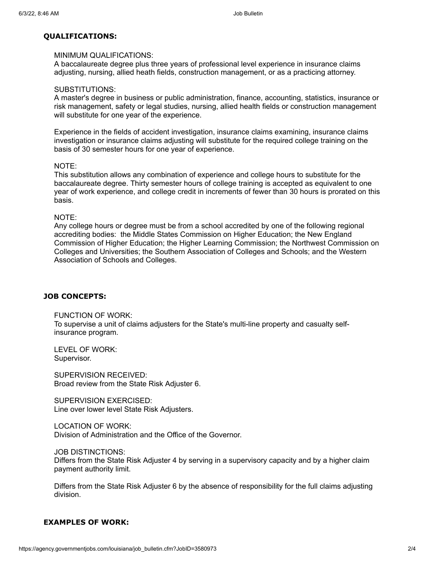### **QUALIFICATIONS:**

### MINIMUM QUALIFICATIONS:

A baccalaureate degree plus three years of professional level experience in insurance claims adjusting, nursing, allied heath fields, construction management, or as a practicing attorney.

#### SUBSTITUTIONS:

A master's degree in business or public administration, finance, accounting, statistics, insurance or risk management, safety or legal studies, nursing, allied health fields or construction management will substitute for one year of the experience.

Experience in the fields of accident investigation, insurance claims examining, insurance claims investigation or insurance claims adjusting will substitute for the required college training on the basis of 30 semester hours for one year of experience.

#### NOTE:

This substitution allows any combination of experience and college hours to substitute for the baccalaureate degree. Thirty semester hours of college training is accepted as equivalent to one year of work experience, and college credit in increments of fewer than 30 hours is prorated on this basis.

#### NOTE:

Any college hours or degree must be from a school accredited by one of the following regional accrediting bodies: the Middle States Commission on Higher Education; the New England Commission of Higher Education; the Higher Learning Commission; the Northwest Commission on Colleges and Universities; the Southern Association of Colleges and Schools; and the Western Association of Schools and Colleges.

### **JOB CONCEPTS:**

FUNCTION OF WORK: To supervise a unit of claims adjusters for the State's multi-line property and casualty selfinsurance program.

LEVEL OF WORK: Supervisor.

SUPERVISION RECEIVED: Broad review from the State Risk Adjuster 6.

SUPERVISION EXERCISED: Line over lower level State Risk Adjusters.

LOCATION OF WORK: Division of Administration and the Office of the Governor.

JOB DISTINCTIONS:

Differs from the State Risk Adjuster 4 by serving in a supervisory capacity and by a higher claim payment authority limit.

Differs from the State Risk Adjuster 6 by the absence of responsibility for the full claims adjusting division.

### **EXAMPLES OF WORK:**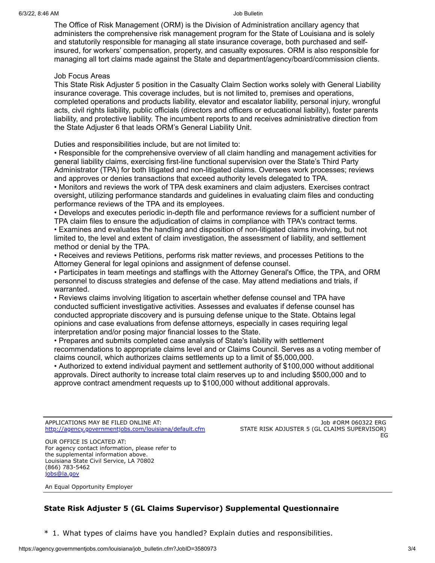The Office of Risk Management (ORM) is the Division of Administration ancillary agency that administers the comprehensive risk management program for the State of Louisiana and is solely and statutorily responsible for managing all state insurance coverage, both purchased and selfinsured, for workers' compensation, property, and casualty exposures. ORM is also responsible for managing all tort claims made against the State and department/agency/board/commission clients.

#### Job Focus Areas

This State Risk Adjuster 5 position in the Casualty Claim Section works solely with General Liability insurance coverage. This coverage includes, but is not limited to, premises and operations, completed operations and products liability, elevator and escalator liability, personal injury, wrongful acts, civil rights liability, public officials (directors and officers or educational liability), foster parents liability, and protective liability. The incumbent reports to and receives administrative direction from the State Adjuster 6 that leads ORM's General Liability Unit.

Duties and responsibilities include, but are not limited to:

• Responsible for the comprehensive overview of all claim handling and management activities for general liability claims, exercising first-line functional supervision over the State's Third Party Administrator (TPA) for both litigated and non-litigated claims. Oversees work processes; reviews and approves or denies transactions that exceed authority levels delegated to TPA.

• Monitors and reviews the work of TPA desk examiners and claim adjusters. Exercises contract oversight, utilizing performance standards and guidelines in evaluating claim files and conducting performance reviews of the TPA and its employees.

• Develops and executes periodic in-depth file and performance reviews for a sufficient number of TPA claim files to ensure the adjudication of claims in compliance with TPA's contract terms.

• Examines and evaluates the handling and disposition of non-litigated claims involving, but not limited to, the level and extent of claim investigation, the assessment of liability, and settlement method or denial by the TPA.

• Receives and reviews Petitions, performs risk matter reviews, and processes Petitions to the Attorney General for legal opinions and assignment of defense counsel.

• Participates in team meetings and staffings with the Attorney General's Office, the TPA, and ORM personnel to discuss strategies and defense of the case. May attend mediations and trials, if warranted.

• Reviews claims involving litigation to ascertain whether defense counsel and TPA have conducted sufficient investigative activities. Assesses and evaluates if defense counsel has conducted appropriate discovery and is pursuing defense unique to the State. Obtains legal opinions and case evaluations from defense attorneys, especially in cases requiring legal interpretation and/or posing major financial losses to the State.

• Prepares and submits completed case analysis of State's liability with settlement recommendations to appropriate claims level and or Claims Council. Serves as a voting member of claims council, which authorizes claims settlements up to a limit of \$5,000,000.

• Authorized to extend individual payment and settlement authority of \$100,000 without additional approvals. Direct authority to increase total claim reserves up to and including \$500,000 and to approve contract amendment requests up to \$100,000 without additional approvals.

APPLICATIONS MAY BE FILED ONLINE AT: <http://agency.governmentjobs.com/louisiana/default.cfm>

Job #ORM 060322 ERG STATE RISK ADJUSTER 5 (GL CLAIMS SUPERVISOR) EG

OUR OFFICE IS LOCATED AT: For agency contact information, please refer to the supplemental information above. Louisiana State Civil Service, LA 70802 (866) 783-5462 [jobs@la.gov](mailto:jobs@la.gov)

An Equal Opportunity Employer

# **State Risk Adjuster 5 (GL Claims Supervisor) Supplemental Questionnaire**

\* 1. What types of claims have you handled? Explain duties and responsibilities.